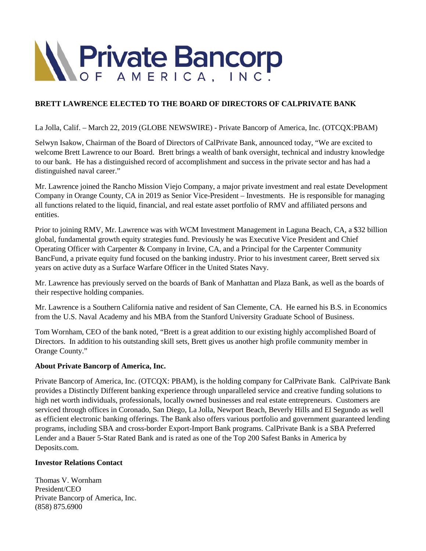

## **BRETT LAWRENCE ELECTED TO THE BOARD OF DIRECTORS OF CALPRIVATE BANK**

La Jolla, Calif. – March 22, 2019 (GLOBE NEWSWIRE) - Private Bancorp of America, Inc. (OTCQX:PBAM)

Selwyn Isakow, Chairman of the Board of Directors of CalPrivate Bank, announced today, "We are excited to welcome Brett Lawrence to our Board. Brett brings a wealth of bank oversight, technical and industry knowledge to our bank. He has a distinguished record of accomplishment and success in the private sector and has had a distinguished naval career."

Mr. Lawrence joined the Rancho Mission Viejo Company, a major private investment and real estate Development Company in Orange County, CA in 2019 as Senior Vice-President – Investments. He is responsible for managing all functions related to the liquid, financial, and real estate asset portfolio of RMV and affiliated persons and entities.

Prior to joining RMV, Mr. Lawrence was with WCM Investment Management in Laguna Beach, CA, a \$32 billion global, fundamental growth equity strategies fund. Previously he was Executive Vice President and Chief Operating Officer with Carpenter & Company in Irvine, CA, and a Principal for the Carpenter Community BancFund, a private equity fund focused on the banking industry. Prior to his investment career, Brett served six years on active duty as a Surface Warfare Officer in the United States Navy.

Mr. Lawrence has previously served on the boards of Bank of Manhattan and Plaza Bank, as well as the boards of their respective holding companies.

Mr. Lawrence is a Southern California native and resident of San Clemente, CA. He earned his B.S. in Economics from the U.S. Naval Academy and his MBA from the Stanford University Graduate School of Business.

Tom Wornham, CEO of the bank noted, "Brett is a great addition to our existing highly accomplished Board of Directors. In addition to his outstanding skill sets, Brett gives us another high profile community member in Orange County."

## **About Private Bancorp of America, Inc.**

Private Bancorp of America, Inc. (OTCQX: PBAM), is the holding company for CalPrivate Bank. CalPrivate Bank provides a Distinctly Different banking experience through unparalleled service and creative funding solutions to high net worth individuals, professionals, locally owned businesses and real estate entrepreneurs. Customers are serviced through offices in Coronado, San Diego, La Jolla, Newport Beach, Beverly Hills and El Segundo as well as efficient electronic banking offerings. The Bank also offers various portfolio and government guaranteed lending programs, including SBA and cross-border Export-Import Bank programs. CalPrivate Bank is a SBA Preferred Lender and a Bauer 5-Star Rated Bank and is rated as one of the Top 200 Safest Banks in America by Deposits.com.

## **Investor Relations Contact**

Thomas V. Wornham President/CEO Private Bancorp of America, Inc. (858) 875.6900